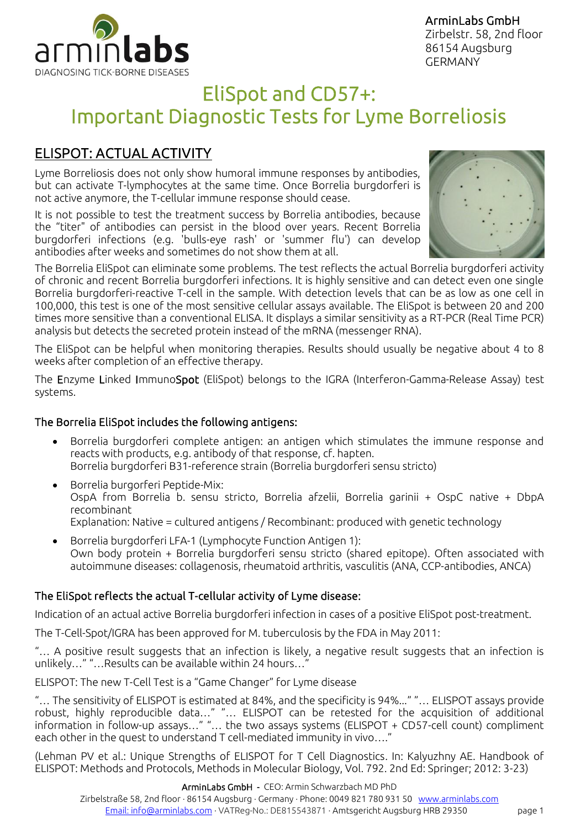

ArminLabs GmbH Zirbelstr. 58, 2nd floor 86154 Augsburg GERMANY

# EliSpot and CD57+: Important Diagnostic Tests for Lyme Borreliosis

## ELISPOT: ACTUAL ACTIVITY

Lyme Borreliosis does not only show humoral immune responses by antibodies, but can activate T-lymphocytes at the same time. Once Borrelia burgdorferi is not active anymore, the T-cellular immune response should cease.

It is not possible to test the treatment success by Borrelia antibodies, because the "titer" of antibodies can persist in the blood over years. Recent Borrelia burgdorferi infections (e.g. 'bulls-eye rash' or 'summer flu') can develop antibodies after weeks and sometimes do not show them at all.



The Borrelia EliSpot can eliminate some problems. The test reflects the actual Borrelia burgdorferi activity of chronic and recent Borrelia burgdorferi infections. It is highly sensitive and can detect even one single Borrelia burgdorferi-reactive T-cell in the sample. With detection levels that can be as low as one cell in 100,000, this test is one of the most sensitive cellular assays available. The EliSpot is between 20 and 200 times more sensitive than a conventional ELISA. It displays a similar sensitivity as a RT-PCR (Real Time PCR) analysis but detects the secreted protein instead of the mRNA (messenger RNA).

The EliSpot can be helpful when monitoring therapies. Results should usually be negative about 4 to 8 weeks after completion of an effective therapy.

The Enzyme Linked ImmunoSpot (EliSpot) belongs to the IGRA (Interferon-Gamma-Release Assay) test systems.

#### The Borrelia EliSpot includes the following antigens:

- Borrelia burgdorferi complete antigen: an antigen which stimulates the immune response and reacts with products, e.g. antibody of that response, cf. hapten. Borrelia burgdorferi B31-reference strain (Borrelia burgdorferi sensu stricto)
- Borrelia burgorferi Peptide-Mix: OspA from Borrelia b. sensu stricto, Borrelia afzelii, Borrelia garinii + OspC native + DbpA recombinant Explanation: Native = cultured antigens / Recombinant: produced with genetic technology
- Borrelia burgdorferi LFA-1 (Lymphocyte Function Antigen 1): Own body protein + Borrelia burgdorferi sensu stricto (shared epitope). Often associated with autoimmune diseases: collagenosis, rheumatoid arthritis, vasculitis (ANA, CCP-antibodies, ANCA)

#### The EliSpot reflects the actual T-cellular activity of Lyme disease:

Indication of an actual active Borrelia burgdorferi infection in cases of a positive EliSpot post-treatment.

The T-Cell-Spot/IGRA has been approved for M. tuberculosis by the FDA in May 2011:

"… A positive result suggests that an infection is likely, a negative result suggests that an infection is unlikely…" "…Results can be available within 24 hours…"

ELISPOT: The new T-Cell Test is a "Game Changer" for Lyme disease

"… The sensitivity of ELISPOT is estimated at 84%, and the specificity is 94%..." "… ELISPOT assays provide robust, highly reproducible data…" "… ELISPOT can be retested for the acquisition of additional information in follow-up assays…" "… the two assays systems (ELISPOT + CD57-cell count) compliment each other in the quest to understand T cell-mediated immunity in vivo…."

(Lehman PV et al.: Unique Strengths of ELISPOT for T Cell Diagnostics. In: Kalyuzhny AE. Handbook of ELISPOT: Methods and Protocols, Methods in Molecular Biology, Vol. 792. 2nd Ed: Springer; 2012: 3-23)